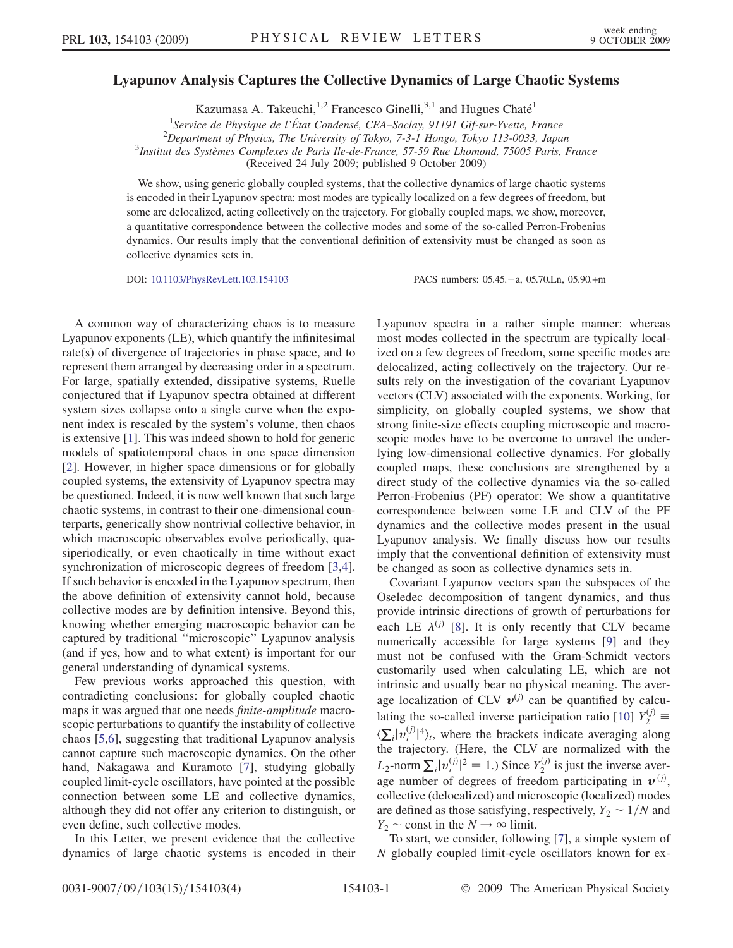## Lyapunov Analysis Captures the Collective Dynamics of Large Chaotic Systems

Kazumasa A. Takeuchi,  $1,2$  Francesco Ginelli,  $3,1$  and Hugues Chaté<sup>1</sup>

<sup>1</sup> Service de Physique de l'État Condensé, CEA–Saclay, 91191 Gif-sur-Yvette, France<br><sup>2</sup> Department of Physics, The University of Televe, 7, 3, 1 Honge, Televe, 113,0033, Japa

<sup>2</sup>Department of Physics, The University of Tokyo, 7-3-1 Hongo, Tokyo 113-0033, Japan

<sup>3</sup>Institut des Systèmes Complexes de Paris Ile-de-France, 57-59 Rue Lhomond, 75005 Paris, France

(Received 24 July 2009; published 9 October 2009)

We show, using generic globally coupled systems, that the collective dynamics of large chaotic systems is encoded in their Lyapunov spectra: most modes are typically localized on a few degrees of freedom, but some are delocalized, acting collectively on the trajectory. For globally coupled maps, we show, moreover, a quantitative correspondence between the collective modes and some of the so-called Perron-Frobenius dynamics. Our results imply that the conventional definition of extensivity must be changed as soon as collective dynamics sets in.

DOI: [10.1103/PhysRevLett.103.154103](http://dx.doi.org/10.1103/PhysRevLett.103.154103) PACS numbers: 05.45. -a, 05.70.Ln, 05.90.+m

A common way of characterizing chaos is to measure Lyapunov exponents (LE), which quantify the infinitesimal rate(s) of divergence of trajectories in phase space, and to represent them arranged by decreasing order in a spectrum. For large, spatially extended, dissipative systems, Ruelle conjectured that if Lyapunov spectra obtained at different system sizes collapse onto a single curve when the exponent index is rescaled by the system's volume, then chaos is extensive [[1\]](#page-3-0). This was indeed shown to hold for generic models of spatiotemporal chaos in one space dimension [\[2\]](#page-3-1). However, in higher space dimensions or for globally coupled systems, the extensivity of Lyapunov spectra may be questioned. Indeed, it is now well known that such large chaotic systems, in contrast to their one-dimensional counterparts, generically show nontrivial collective behavior, in which macroscopic observables evolve periodically, quasiperiodically, or even chaotically in time without exact synchronization of microscopic degrees of freedom [[3](#page-3-2),[4\]](#page-3-3). If such behavior is encoded in the Lyapunov spectrum, then the above definition of extensivity cannot hold, because collective modes are by definition intensive. Beyond this, knowing whether emerging macroscopic behavior can be captured by traditional ''microscopic'' Lyapunov analysis (and if yes, how and to what extent) is important for our general understanding of dynamical systems.

Few previous works approached this question, with contradicting conclusions: for globally coupled chaotic maps it was argued that one needs finite-amplitude macroscopic perturbations to quantify the instability of collective chaos [[5](#page-3-4)[,6\]](#page-3-5), suggesting that traditional Lyapunov analysis cannot capture such macroscopic dynamics. On the other hand, Nakagawa and Kuramoto [[7\]](#page-3-6), studying globally coupled limit-cycle oscillators, have pointed at the possible connection between some LE and collective dynamics, although they did not offer any criterion to distinguish, or even define, such collective modes.

In this Letter, we present evidence that the collective dynamics of large chaotic systems is encoded in their Lyapunov spectra in a rather simple manner: whereas most modes collected in the spectrum are typically localized on a few degrees of freedom, some specific modes are delocalized, acting collectively on the trajectory. Our results rely on the investigation of the covariant Lyapunov vectors (CLV) associated with the exponents. Working, for simplicity, on globally coupled systems, we show that strong finite-size effects coupling microscopic and macroscopic modes have to be overcome to unravel the underlying low-dimensional collective dynamics. For globally coupled maps, these conclusions are strengthened by a direct study of the collective dynamics via the so-called Perron-Frobenius (PF) operator: We show a quantitative correspondence between some LE and CLV of the PF dynamics and the collective modes present in the usual Lyapunov analysis. We finally discuss how our results imply that the conventional definition of extensivity must be changed as soon as collective dynamics sets in.

Covariant Lyapunov vectors span the subspaces of the Oseledec decomposition of tangent dynamics, and thus provide intrinsic directions of growth of perturbations for each LE  $\lambda^{(j)}$  [\[8](#page-3-7)]. It is only recently that CLV became numerically accessible for large systems [[9\]](#page-3-8) and they must not be confused with the Gram-Schmidt vectors customarily used when calculating LE, which are not intrinsic and usually bear no physical meaning. The average localization of CLV  $v^{(j)}$  can be quantified by calcu-lating the so-called inverse participation ratio [[10](#page-3-9)]  $Y_2^{(j)} \equiv \sum_{n=1}^{\infty} \frac{1}{n!} (j)! 4$  $\langle \sum_i |v_i^{(j)}|^4 \rangle_t$ , where the brackets indicate averaging along the trajectory. (Here, the CLV are normalized with the  $L_2$ -norm  $\sum_i |v_i^{(j)}|^2 = 1$ .) Since  $Y_2^{(j)}$  is just the inverse average number of degrees of freedom participating in  $\mathbf{v}^{(j)}$ , collective (delocalized) and microscopic (localized) modes are defined as those satisfying, respectively,  $Y_2 \sim 1/N$  and  $Y_2 \sim$  const in the  $N \to \infty$  limit.<br>To start, we consider following

To start, we consider, following [\[7](#page-3-6)], a simple system of N globally coupled limit-cycle oscillators known for ex-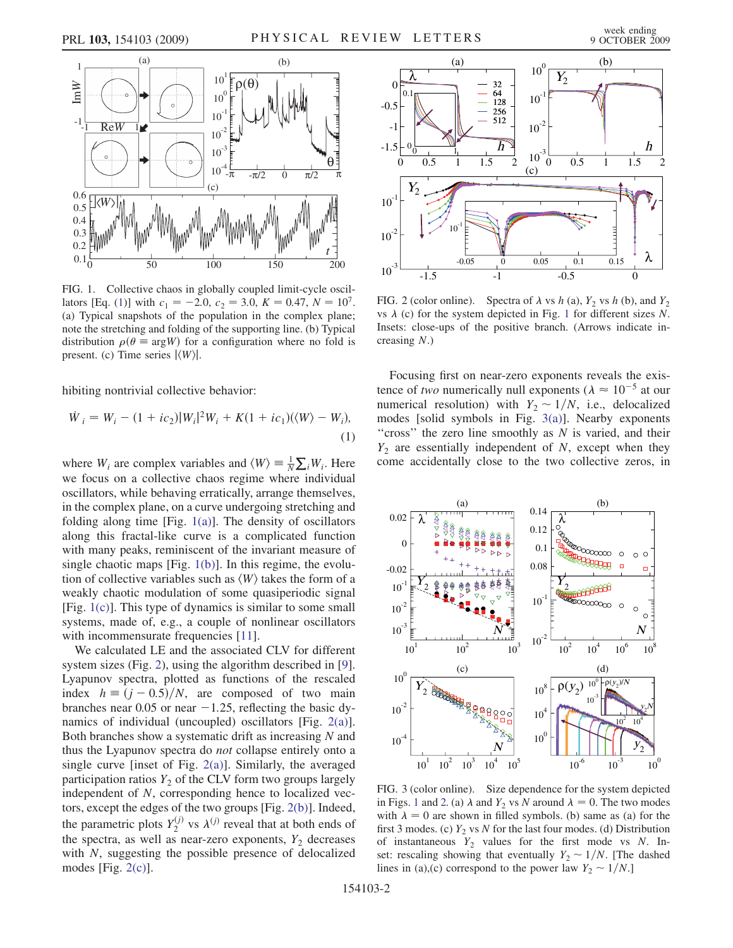<span id="page-1-5"></span>

<span id="page-1-0"></span>FIG. 1. Collective chaos in globally coupled limit-cycle oscil-lators [Eq. ([1](#page-1-4))] with  $c_1 = -2.0$ ,  $c_2 = 3.0$ ,  $K = 0.47$ ,  $N = 10^7$ . (a) Typical snapshots of the population in the complex plane; note the stretching and folding of the supporting line. (b) Typical distribution  $\rho(\theta = \text{arg}W)$  for a configuration where no fold is present (c) Time series  $|(W)|$ present. (c) Time series  $|\langle W \rangle|$ .

<span id="page-1-4"></span>hibiting nontrivial collective behavior:

$$
\dot{W}_i = W_i - (1 + ic_2)|W_i|^2 W_i + K(1 + ic_1)(\langle W \rangle - W_i),
$$
\n(1)

where  $W_i$  are complex variables and  $\langle W \rangle = \frac{1}{N} \sum_i W_i$ . Here we focus on a collective chaos regime where individual oscillators, while behaving erratically, arrange themselves, in the complex plane, on a curve undergoing stretching and folding along time  $[Fig. 1(a)]$  $[Fig. 1(a)]$ . The density of oscillators along this fractal-like curve is a complicated function with many peaks, reminiscent of the invariant measure of single chaotic maps [Fig. [1\(b\)\]](#page-1-0). In this regime, the evolution of collective variables such as  $\langle W \rangle$  takes the form of a weakly chaotic modulation of some quasiperiodic signal [Fig. [1\(c\)\]](#page-1-0). This type of dynamics is similar to some small systems, made of, e.g., a couple of nonlinear oscillators with incommensurate frequencies [[11](#page-3-10)].

We calculated LE and the associated CLV for different system sizes (Fig. [2\)](#page-1-1), using the algorithm described in [[9\]](#page-3-8). Lyapunov spectra, plotted as functions of the rescaled index  $h = (j - 0.5)/N$ , are composed of two main<br>branches near 0.05 or near -1.25 reflecting the basic dybranches near  $0.05$  or near  $-1.25$ , reflecting the basic dynamics of individual (uncoupled) oscillators [Fig. [2\(a\)\]](#page-1-2). Both branches show a systematic drift as increasing  $N$  and thus the Lyapunov spectra do not collapse entirely onto a single curve [inset of Fig. [2\(a\)\]](#page-1-2). Similarly, the averaged participation ratios  $Y_2$  of the CLV form two groups largely independent of N, corresponding hence to localized vectors, except the edges of the two groups [Fig. [2\(b\)\]](#page-1-2). Indeed, the parametric plots  $Y_2^{(j)}$  vs  $\lambda^{(j)}$  reveal that at both ends of the spectra, as well as near-zero exponents,  $Y_2$  decreases with N, suggesting the possible presence of delocalized modes [Fig.  $2(c)$ ].

<span id="page-1-1"></span>

<span id="page-1-2"></span>FIG. 2 (color online). Spectra of  $\lambda$  vs  $h$  (a),  $Y_2$  vs  $h$  (b), and  $Y_2$ vs  $\lambda$  (c) for the system depicted in Fig. [1](#page-1-5) for different sizes N. Insets: close-ups of the positive branch. (Arrows indicate increasing N.)

Focusing first on near-zero exponents reveals the existence of two numerically null exponents ( $\lambda \approx 10^{-5}$  at our numerical resolution) with  $Y_2 \sim 1/N$ , i.e., delocalized modes [solid symbols in Fig. [3\(a\)\]](#page-1-3). Nearby exponents "cross" the zero line smoothly as  $N$  is varied, and their  $Y_2$  are essentially independent of N, except when they come accidentally close to the two collective zeros in come accidentally close to the two collective zeros, in



<span id="page-1-3"></span>FIG. 3 (color online). Size dependence for the system depicted in Figs. [1](#page-1-5) and [2.](#page-1-1) (a)  $\lambda$  and  $Y_2$  vs N around  $\lambda = 0$ . The two modes with  $\lambda = 0$  are shown in filled symbols. (b) same as (a) for the first 3 modes. (c)  $Y_2$  vs N for the last four modes. (d) Distribution of instantaneous  $Y_2$  values for the first mode vs N. Inset: rescaling showing that eventually  $Y_2 \sim 1/N$ . [The dashed lines in (a),(c) correspond to the power law  $Y_2 \sim 1/N$ .]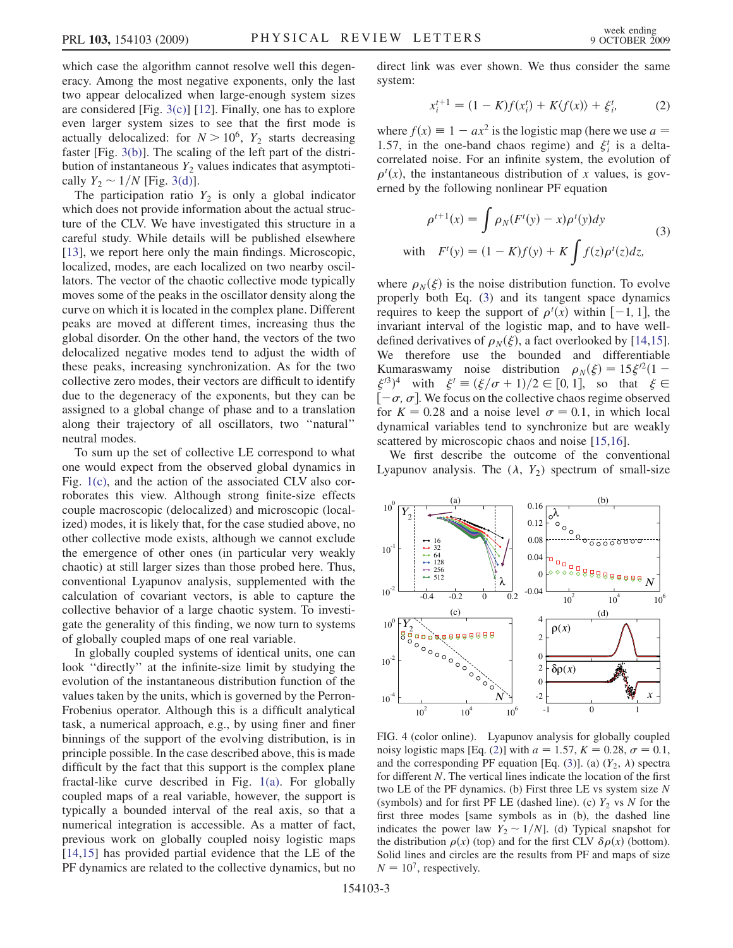which case the algorithm cannot resolve well this degeneracy. Among the most negative exponents, only the last two appear delocalized when large-enough system sizes are considered [Fig. [3\(c\)\]](#page-1-3) [[12](#page-3-11)]. Finally, one has to explore even larger system sizes to see that the first mode is actually delocalized: for  $N > 10^6$ ,  $Y_2$  starts decreasing faster [Fig. [3\(b\)\]](#page-1-3). The scaling of the left part of the distribution of instantaneous  $Y_2$  values indicates that asymptotically  $Y_2 \sim 1/N$  [Fig. [3\(d\)](#page-1-3)].

The participation ratio  $Y_2$  is only a global indicator which does not provide information about the actual structure of the CLV. We have investigated this structure in a careful study. While details will be published elsewhere [\[13\]](#page-3-12), we report here only the main findings. Microscopic, localized, modes, are each localized on two nearby oscillators. The vector of the chaotic collective mode typically moves some of the peaks in the oscillator density along the curve on which it is located in the complex plane. Different peaks are moved at different times, increasing thus the global disorder. On the other hand, the vectors of the two delocalized negative modes tend to adjust the width of these peaks, increasing synchronization. As for the two collective zero modes, their vectors are difficult to identify due to the degeneracy of the exponents, but they can be assigned to a global change of phase and to a translation along their trajectory of all oscillators, two ''natural'' neutral modes.

To sum up the set of collective LE correspond to what one would expect from the observed global dynamics in Fig. [1\(c\)](#page-1-0), and the action of the associated CLV also corroborates this view. Although strong finite-size effects couple macroscopic (delocalized) and microscopic (localized) modes, it is likely that, for the case studied above, no other collective mode exists, although we cannot exclude the emergence of other ones (in particular very weakly chaotic) at still larger sizes than those probed here. Thus, conventional Lyapunov analysis, supplemented with the calculation of covariant vectors, is able to capture the collective behavior of a large chaotic system. To investigate the generality of this finding, we now turn to systems of globally coupled maps of one real variable.

In globally coupled systems of identical units, one can look ''directly'' at the infinite-size limit by studying the evolution of the instantaneous distribution function of the values taken by the units, which is governed by the Perron-Frobenius operator. Although this is a difficult analytical task, a numerical approach, e.g., by using finer and finer binnings of the support of the evolving distribution, is in principle possible. In the case described above, this is made difficult by the fact that this support is the complex plane fractal-like curve described in Fig. [1\(a\).](#page-1-0) For globally coupled maps of a real variable, however, the support is typically a bounded interval of the real axis, so that a numerical integration is accessible. As a matter of fact, previous work on globally coupled noisy logistic maps [\[14](#page-3-13)[,15\]](#page-3-14) has provided partial evidence that the LE of the PF dynamics are related to the collective dynamics, but no <span id="page-2-1"></span>direct link was ever shown. We thus consider the same system:

$$
x_i^{t+1} = (1 - K)f(x_i^t) + K\langle f(x) \rangle + \xi_i^t,
$$
 (2)

where  $f(x) \equiv 1 - ax^2$  is the logistic map (here we use  $a = 1.57$  in the one-band chaos regime) and  $\mathcal{E}^t$  is a delta-1.57, in the one-band chaos regime) and  $\xi_i^t$  is a delta-<br>correlated noise. For an infinite system, the evolution of correlated noise. For an infinite system, the evolution of  $\rho^{t}(x)$ , the instantaneous distribution of x values, is governed by the following nonlinear PF equation

<span id="page-2-0"></span>
$$
\rho^{t+1}(x) = \int \rho_N(F^t(y) - x)\rho^t(y)dy
$$
  
with 
$$
F^t(y) = (1 - K)f(y) + K \int f(z)\rho^t(z)dz,
$$
 (3)

where  $\rho_N(\xi)$  is the noise distribution function. To evolve properly both Eq. ([3\)](#page-2-0) and its tangent space dynamics requires to keep the support of  $\rho^{t}(x)$  within  $[-1, 1]$ , the invariant interval of the logistic map, and to have wellinvariant interval of the logistic map, and to have welldefined derivatives of  $\rho_N(\xi)$ , a fact overlooked by [\[14,](#page-3-13)[15\]](#page-3-14). We therefore use the bounded and differentiable Kumaraswamy noise distribution  $\rho_N(\xi) = 15\xi^{1/2}(1 - \xi/3)^4$  with  $\xi' \equiv (\xi/\sigma + 1)/2 \in [0, 1]$  so that  $\xi \in$  $\xi^{(3)}$ <sup>4</sup> with  $\xi^{(3)} \equiv (\xi/\sigma + 1)/2 \in [0, 1]$ , so that  $\xi \in [-\sigma, \sigma]$  We focus on the collective chaos regime observed  $[-\sigma, \sigma]$ . We focus on the collective chaos regime observed for  $K = 0.28$  and a noise level  $\sigma = 0.1$ , in which local dynamical variables tend to synchronize but are weakly scattered by microscopic chaos and noise [[15](#page-3-14),[16](#page-3-15)].

We first describe the outcome of the conventional Lyapunov analysis. The  $(\lambda, Y_2)$  spectrum of small-size



<span id="page-2-2"></span>FIG. 4 (color online). Lyapunov analysis for globally coupled noisy logistic maps [Eq. [\(2\)](#page-2-1)] with  $a = 1.57$ ,  $K = 0.28$ ,  $\sigma = 0.1$ , and the corresponding PF equation [Eq. [\(3\)](#page-2-0)]. (a)  $(Y_2, \lambda)$  spectra for different N. The vertical lines indicate the location of the first two LE of the PF dynamics. (b) First three LE vs system size N (symbols) and for first PF LE (dashed line). (c)  $Y_2$  vs N for the first three modes [same symbols as in (b), the dashed line indicates the power law  $Y_2 \sim 1/N$ . (d) Typical snapshot for the distribution  $\rho(x)$  (top) and for the first CLV  $\delta \rho(x)$  (bottom). Solid lines and circles are the results from PF and maps of size  $N = 10<sup>7</sup>$ , respectively.